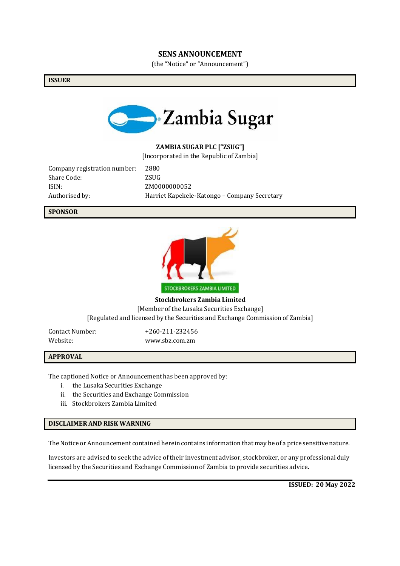#### **SENS ANNOUNCEMENT**

(the "Notice" or "Announcement")

**ISSUER**



### **ZAMBIA SUGAR PLC ["ZSUG"]**

[Incorporated in the Republic of Zambia]

Company registration number: 2880 Share Code: ZSUG ISIN: ZM0000000052

Authorised by: Harriet Kapekele-Katongo – Company Secretary

**SPONSOR**



**Stockbrokers Zambia Limited** [Member of the Lusaka Securities Exchange] [Regulated and licensed by the Securities and Exchange Commission of Zambia]

Contact Number: +260-211-232456

Website: [www.sbz.com.zm](http://www.sbz.com.zm/)

#### **APPROVAL**

The captioned Notice or Announcement has been approved by:

- i. the Lusaka Securities Exchange
- ii. the Securities and Exchange Commission
- iii. Stockbrokers Zambia Limited

### **DISCLAIMERAND RISK WARNING**

The Notice or Announcement contained herein contains information that may be of a price sensitive nature.

Investors are advised to seek the advice of their investment advisor, stockbroker, or any professional duly licensed by the Securities and Exchange Commission of Zambia to provide securities advice.

**ISSUED: 20 May 2022**